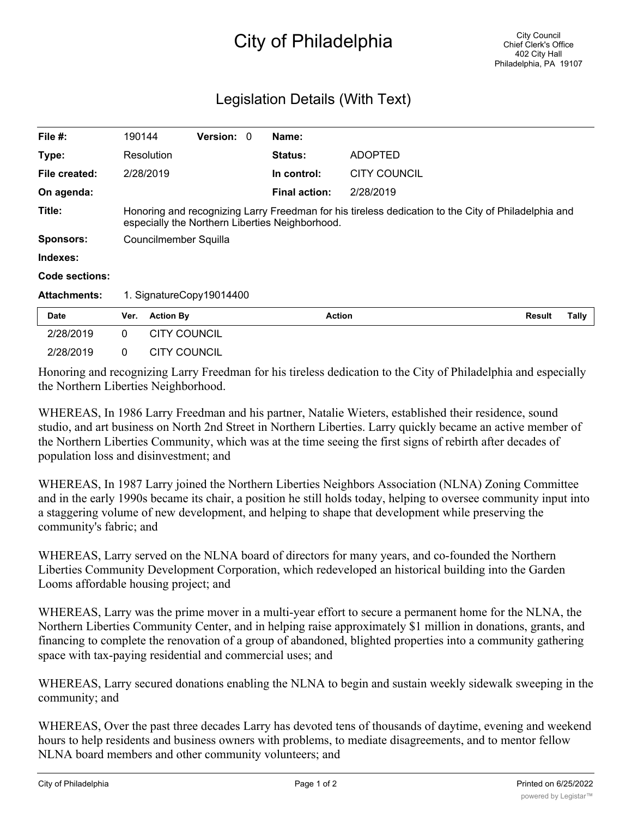## City of Philadelphia

## Legislation Details (With Text)

| File $#$ :          | 190144                                                                                                                                                 |                       | <b>Version: 0</b>        |  | Name:                |                     |               |       |
|---------------------|--------------------------------------------------------------------------------------------------------------------------------------------------------|-----------------------|--------------------------|--|----------------------|---------------------|---------------|-------|
| Type:               |                                                                                                                                                        | Resolution            |                          |  | <b>Status:</b>       | <b>ADOPTED</b>      |               |       |
| File created:       |                                                                                                                                                        | 2/28/2019             |                          |  | In control:          | <b>CITY COUNCIL</b> |               |       |
| On agenda:          |                                                                                                                                                        |                       |                          |  | <b>Final action:</b> | 2/28/2019           |               |       |
| Title:              | Honoring and recognizing Larry Freedman for his tireless dedication to the City of Philadelphia and<br>especially the Northern Liberties Neighborhood. |                       |                          |  |                      |                     |               |       |
| <b>Sponsors:</b>    |                                                                                                                                                        | Councilmember Squilla |                          |  |                      |                     |               |       |
| Indexes:            |                                                                                                                                                        |                       |                          |  |                      |                     |               |       |
| Code sections:      |                                                                                                                                                        |                       |                          |  |                      |                     |               |       |
| <b>Attachments:</b> |                                                                                                                                                        |                       | 1. SignatureCopy19014400 |  |                      |                     |               |       |
| <b>Date</b>         | Ver.                                                                                                                                                   | <b>Action By</b>      |                          |  | <b>Action</b>        |                     | <b>Result</b> | Tally |
| 2/28/2019           | $\mathbf{0}$                                                                                                                                           | <b>CITY COUNCIL</b>   |                          |  |                      |                     |               |       |
| 2/28/2019           | 0                                                                                                                                                      | <b>CITY COUNCIL</b>   |                          |  |                      |                     |               |       |

Honoring and recognizing Larry Freedman for his tireless dedication to the City of Philadelphia and especially the Northern Liberties Neighborhood.

WHEREAS, In 1986 Larry Freedman and his partner, Natalie Wieters, established their residence, sound studio, and art business on North 2nd Street in Northern Liberties. Larry quickly became an active member of the Northern Liberties Community, which was at the time seeing the first signs of rebirth after decades of population loss and disinvestment; and

WHEREAS, In 1987 Larry joined the Northern Liberties Neighbors Association (NLNA) Zoning Committee and in the early 1990s became its chair, a position he still holds today, helping to oversee community input into a staggering volume of new development, and helping to shape that development while preserving the community's fabric; and

WHEREAS, Larry served on the NLNA board of directors for many years, and co-founded the Northern Liberties Community Development Corporation, which redeveloped an historical building into the Garden Looms affordable housing project; and

WHEREAS, Larry was the prime mover in a multi-year effort to secure a permanent home for the NLNA, the Northern Liberties Community Center, and in helping raise approximately \$1 million in donations, grants, and financing to complete the renovation of a group of abandoned, blighted properties into a community gathering space with tax-paying residential and commercial uses; and

WHEREAS, Larry secured donations enabling the NLNA to begin and sustain weekly sidewalk sweeping in the community; and

WHEREAS, Over the past three decades Larry has devoted tens of thousands of daytime, evening and weekend hours to help residents and business owners with problems, to mediate disagreements, and to mentor fellow NLNA board members and other community volunteers; and